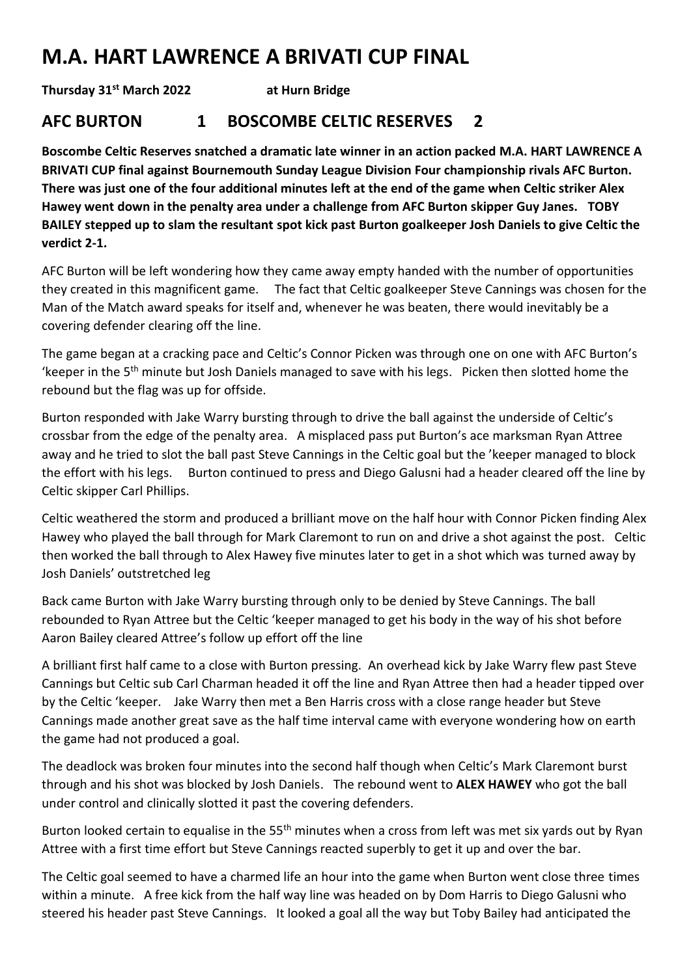## **M.A. HART LAWRENCE A BRIVATI CUP FINAL**

**Thursday 31st March 2022 at Hurn Bridge**

## **AFC BURTON 1 BOSCOMBE CELTIC RESERVES 2**

**Boscombe Celtic Reserves snatched a dramatic late winner in an action packed M.A. HART LAWRENCE A BRIVATI CUP final against Bournemouth Sunday League Division Four championship rivals AFC Burton. There was just one of the four additional minutes left at the end of the game when Celtic striker Alex Hawey went down in the penalty area under a challenge from AFC Burton skipper Guy Janes. TOBY BAILEY stepped up to slam the resultant spot kick past Burton goalkeeper Josh Daniels to give Celtic the verdict 2-1.**

AFC Burton will be left wondering how they came away empty handed with the number of opportunities they created in this magnificent game. The fact that Celtic goalkeeper Steve Cannings was chosen for the Man of the Match award speaks for itself and, whenever he was beaten, there would inevitably be a covering defender clearing off the line.

The game began at a cracking pace and Celtic's Connor Picken was through one on one with AFC Burton's 'keeper in the 5th minute but Josh Daniels managed to save with his legs. Picken then slotted home the rebound but the flag was up for offside.

Burton responded with Jake Warry bursting through to drive the ball against the underside of Celtic's crossbar from the edge of the penalty area. A misplaced pass put Burton's ace marksman Ryan Attree away and he tried to slot the ball past Steve Cannings in the Celtic goal but the 'keeper managed to block the effort with his legs. Burton continued to press and Diego Galusni had a header cleared off the line by Celtic skipper Carl Phillips.

Celtic weathered the storm and produced a brilliant move on the half hour with Connor Picken finding Alex Hawey who played the ball through for Mark Claremont to run on and drive a shot against the post. Celtic then worked the ball through to Alex Hawey five minutes later to get in a shot which was turned away by Josh Daniels' outstretched leg

Back came Burton with Jake Warry bursting through only to be denied by Steve Cannings. The ball rebounded to Ryan Attree but the Celtic 'keeper managed to get his body in the way of his shot before Aaron Bailey cleared Attree's follow up effort off the line

A brilliant first half came to a close with Burton pressing. An overhead kick by Jake Warry flew past Steve Cannings but Celtic sub Carl Charman headed it off the line and Ryan Attree then had a header tipped over by the Celtic 'keeper. Jake Warry then met a Ben Harris cross with a close range header but Steve Cannings made another great save as the half time interval came with everyone wondering how on earth the game had not produced a goal.

The deadlock was broken four minutes into the second half though when Celtic's Mark Claremont burst through and his shot was blocked by Josh Daniels. The rebound went to **ALEX HAWEY** who got the ball under control and clinically slotted it past the covering defenders.

Burton looked certain to equalise in the 55<sup>th</sup> minutes when a cross from left was met six yards out by Ryan Attree with a first time effort but Steve Cannings reacted superbly to get it up and over the bar.

The Celtic goal seemed to have a charmed life an hour into the game when Burton went close three times within a minute. A free kick from the half way line was headed on by Dom Harris to Diego Galusni who steered his header past Steve Cannings. It looked a goal all the way but Toby Bailey had anticipated the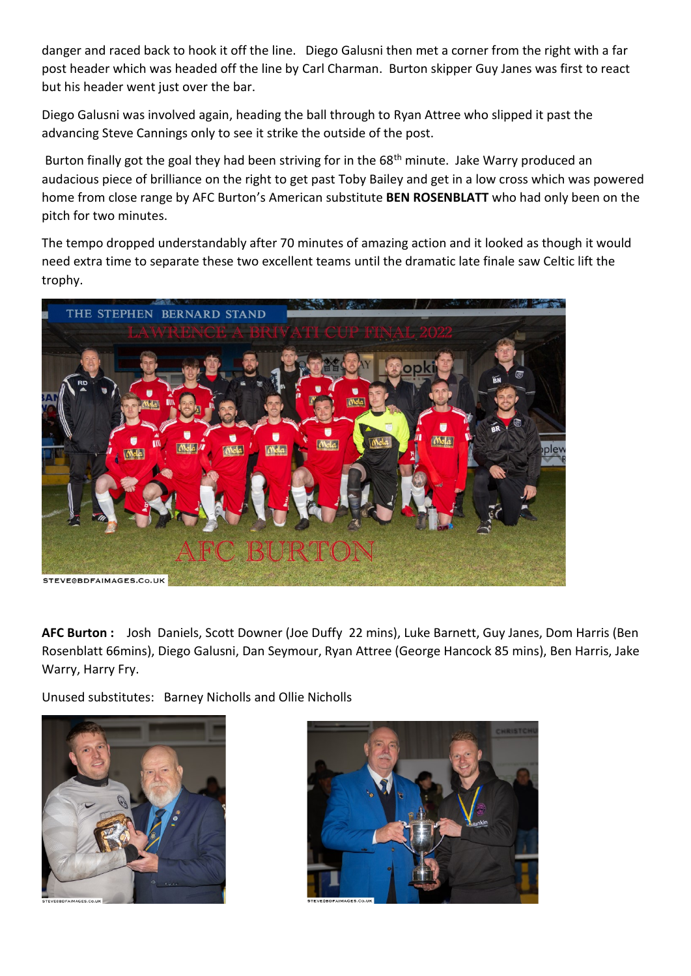danger and raced back to hook it off the line. Diego Galusni then met a corner from the right with a far post header which was headed off the line by Carl Charman. Burton skipper Guy Janes was first to react but his header went just over the bar.

Diego Galusni was involved again, heading the ball through to Ryan Attree who slipped it past the advancing Steve Cannings only to see it strike the outside of the post.

Burton finally got the goal they had been striving for in the 68<sup>th</sup> minute. Jake Warry produced an audacious piece of brilliance on the right to get past Toby Bailey and get in a low cross which was powered home from close range by AFC Burton's American substitute **BEN ROSENBLATT** who had only been on the pitch for two minutes.

The tempo dropped understandably after 70 minutes of amazing action and it looked as though it would need extra time to separate these two excellent teams until the dramatic late finale saw Celtic lift the trophy.



**AFC Burton :** Josh Daniels, Scott Downer (Joe Duffy 22 mins), Luke Barnett, Guy Janes, Dom Harris (Ben Rosenblatt 66mins), Diego Galusni, Dan Seymour, Ryan Attree (George Hancock 85 mins), Ben Harris, Jake Warry, Harry Fry.

Unused substitutes: Barney Nicholls and Ollie Nicholls